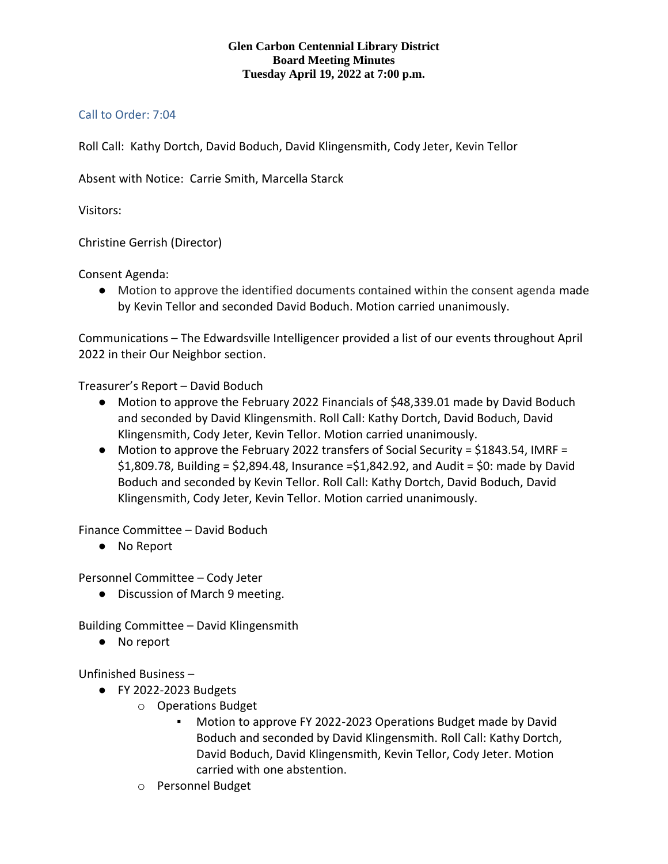## **Glen Carbon Centennial Library District Board Meeting Minutes Tuesday April 19, 2022 at 7:00 p.m.**

## Call to Order: 7:04

Roll Call: Kathy Dortch, David Boduch, David Klingensmith, Cody Jeter, Kevin Tellor

Absent with Notice: Carrie Smith, Marcella Starck

Visitors:

Christine Gerrish (Director)

Consent Agenda:

● Motion to approve the identified documents contained within the consent agenda made by Kevin Tellor and seconded David Boduch. Motion carried unanimously.

Communications – The Edwardsville Intelligencer provided a list of our events throughout April 2022 in their Our Neighbor section.

Treasurer's Report – David Boduch

- Motion to approve the February 2022 Financials of \$48,339.01 made by David Boduch and seconded by David Klingensmith. Roll Call: Kathy Dortch, David Boduch, David Klingensmith, Cody Jeter, Kevin Tellor. Motion carried unanimously.
- Motion to approve the February 2022 transfers of Social Security = \$1843.54, IMRF =  $$1,809.78$ , Building =  $$2,894.48$ , Insurance = $$1,842.92$ , and Audit =  $$0:$  made by David Boduch and seconded by Kevin Tellor. Roll Call: Kathy Dortch, David Boduch, David Klingensmith, Cody Jeter, Kevin Tellor. Motion carried unanimously.

Finance Committee – David Boduch

● No Report

Personnel Committee – Cody Jeter

● Discussion of March 9 meeting.

Building Committee – David Klingensmith

● No report

Unfinished Business –

- FY 2022-2023 Budgets
	- o Operations Budget
		- Motion to approve FY 2022-2023 Operations Budget made by David Boduch and seconded by David Klingensmith. Roll Call: Kathy Dortch, David Boduch, David Klingensmith, Kevin Tellor, Cody Jeter. Motion carried with one abstention.
	- o Personnel Budget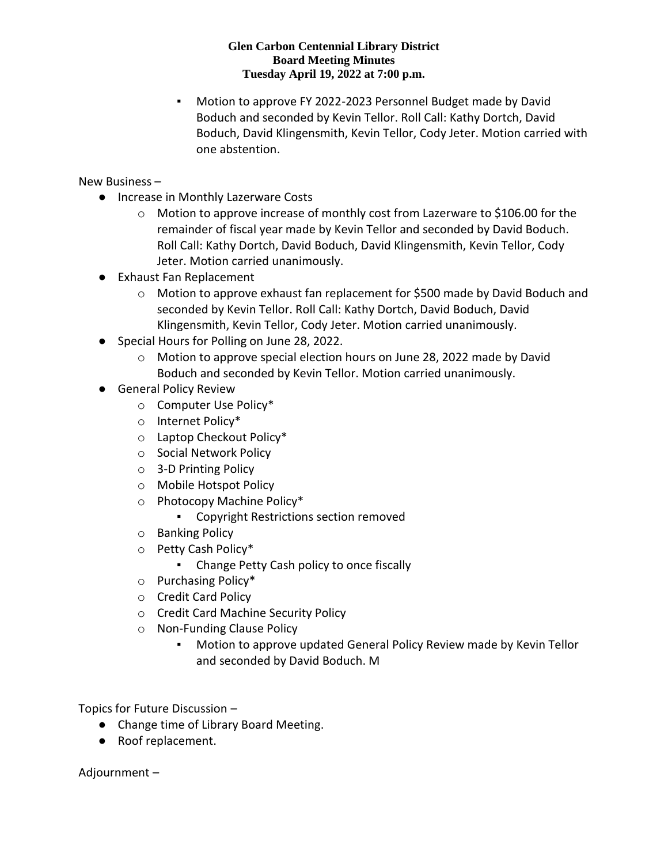## **Glen Carbon Centennial Library District Board Meeting Minutes Tuesday April 19, 2022 at 7:00 p.m.**

Motion to approve FY 2022-2023 Personnel Budget made by David Boduch and seconded by Kevin Tellor. Roll Call: Kathy Dortch, David Boduch, David Klingensmith, Kevin Tellor, Cody Jeter. Motion carried with one abstention.

New Business –

- Increase in Monthly Lazerware Costs
	- $\circ$  Motion to approve increase of monthly cost from Lazerware to \$106.00 for the remainder of fiscal year made by Kevin Tellor and seconded by David Boduch. Roll Call: Kathy Dortch, David Boduch, David Klingensmith, Kevin Tellor, Cody Jeter. Motion carried unanimously.
- Exhaust Fan Replacement
	- o Motion to approve exhaust fan replacement for \$500 made by David Boduch and seconded by Kevin Tellor. Roll Call: Kathy Dortch, David Boduch, David Klingensmith, Kevin Tellor, Cody Jeter. Motion carried unanimously.
- Special Hours for Polling on June 28, 2022.
	- o Motion to approve special election hours on June 28, 2022 made by David Boduch and seconded by Kevin Tellor. Motion carried unanimously.
- General Policy Review
	- o Computer Use Policy\*
	- o Internet Policy\*
	- o Laptop Checkout Policy\*
	- o Social Network Policy
	- o 3-D Printing Policy
	- o Mobile Hotspot Policy
	- o Photocopy Machine Policy\*
		- Copyright Restrictions section removed
	- o Banking Policy
	- o Petty Cash Policy\*
		- Change Petty Cash policy to once fiscally
	- o Purchasing Policy\*
	- o Credit Card Policy
	- o Credit Card Machine Security Policy
	- o Non-Funding Clause Policy
		- Motion to approve updated General Policy Review made by Kevin Tellor and seconded by David Boduch. M

Topics for Future Discussion –

- Change time of Library Board Meeting.
- Roof replacement.

Adjournment –